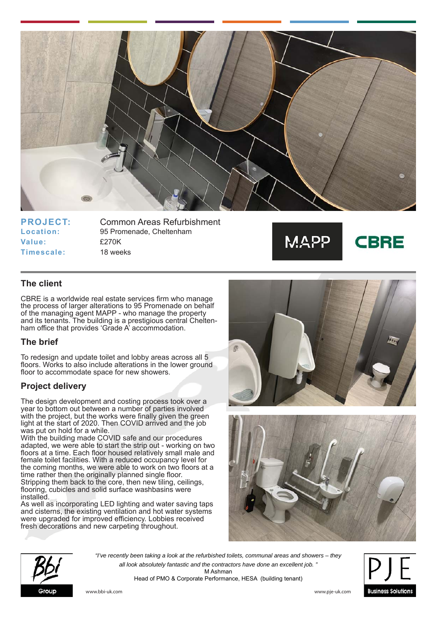

**Value:** £270K **Timescale:** 18 weeks

**PROJECT:** Common Areas Refurbishment **Location:** 95 Promenade, Cheltenham



**CBRE** 

## **The client**

CBRE is a worldwide real estate services firm who manage the process of larger alterations to 95 Promenade on behalf of the managing agent MAPP - who manage the property and its tenants. The building is a prestigious central Cheltenham office that provides 'Grade A' accommodation.

#### **The brief**

To redesign and update toilet and lobby areas across all 5 floors. Works to also include alterations in the lower ground floor to accommodate space for new showers.

#### **Project delivery**

The design development and costing process took over a year to bottom out between a number of parties involved with the project, but the works were finally given the green light at the start of 2020. Then COVID arrived and the job was put on hold for a while.

With the building made COVID safe and our procedures adapted, we were able to start the strip out - working on two floors at a time. Each floor housed relatively small male and female toilet facilities. With a reduced occupancy level for the coming months, we were able to work on two floors at a time rather then the originally planned single floor. Stripping them back to the core, then new tiling, ceilings, flooring, cubicles and solid surface washbasins were installed.

As well as incorporating LED lighting and water saving taps and cisterns, the existing ventilation and hot water systems were upgraded for improved efficiency. Lobbies received fresh decorations and new carpeting throughout.







*"I've recently been taking a look at the refurbished toilets, communal areas and showers – they all look absolutely fantastic and the contractors have done an excellent job. "* M Ashman Head of PMO & Corporate Performance, HESA (building tenant)



www.bbi-uk.com www.pje-uk.com